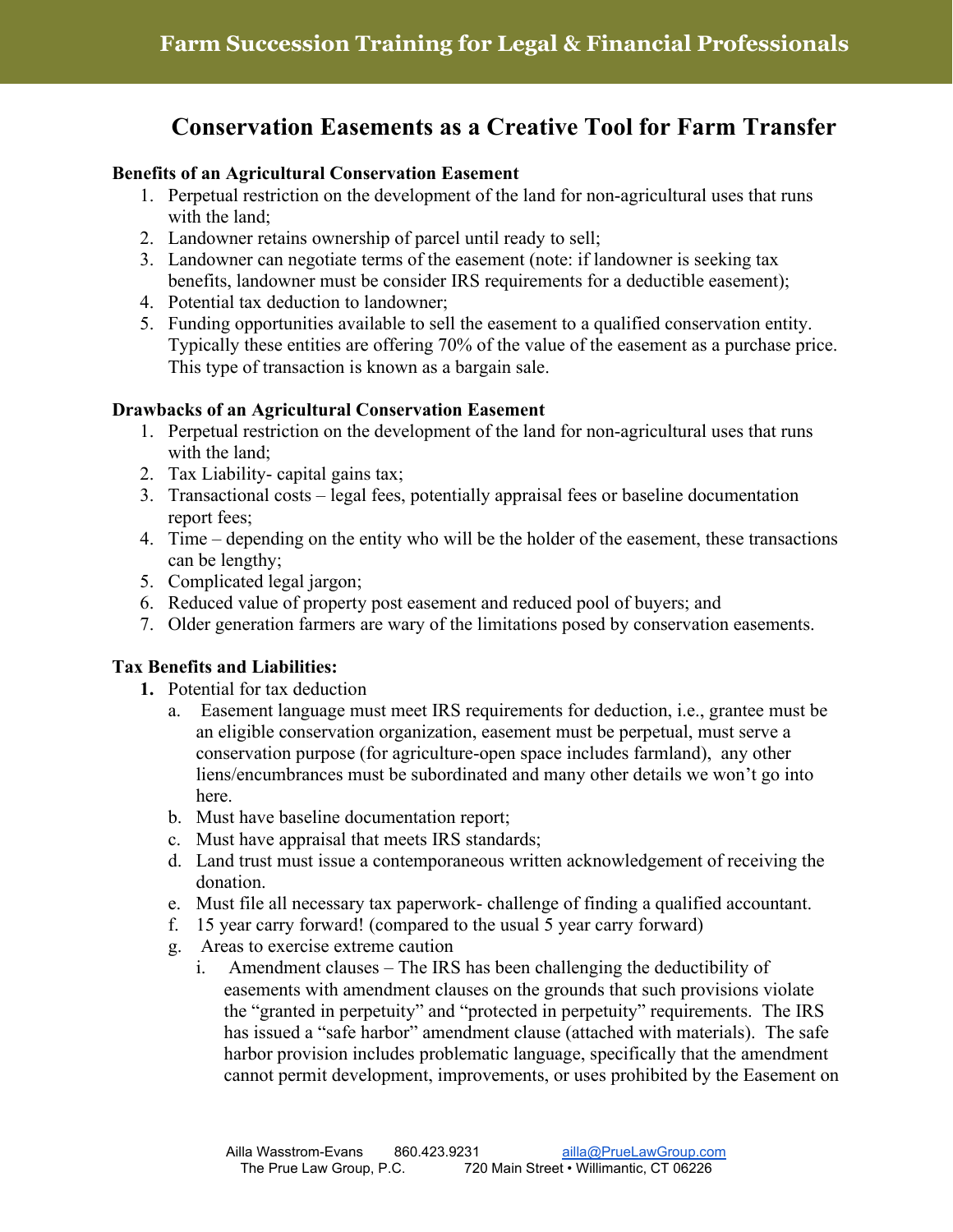# **Conservation Easements as a Creative Tool for Farm Transfer**

### **Benefits of an Agricultural Conservation Easement**

- 1. Perpetual restriction on the development of the land for non-agricultural uses that runs with the land;
- 2. Landowner retains ownership of parcel until ready to sell;
- 3. Landowner can negotiate terms of the easement (note: if landowner is seeking tax benefits, landowner must be consider IRS requirements for a deductible easement);
- 4. Potential tax deduction to landowner;
- 5. Funding opportunities available to sell the easement to a qualified conservation entity. Typically these entities are offering 70% of the value of the easement as a purchase price. This type of transaction is known as a bargain sale.

### **Drawbacks of an Agricultural Conservation Easement**

- 1. Perpetual restriction on the development of the land for non-agricultural uses that runs with the land;
- 2. Tax Liability- capital gains tax;
- 3. Transactional costs legal fees, potentially appraisal fees or baseline documentation report fees;
- 4. Time depending on the entity who will be the holder of the easement, these transactions can be lengthy;
- 5. Complicated legal jargon;
- 6. Reduced value of property post easement and reduced pool of buyers; and
- 7. Older generation farmers are wary of the limitations posed by conservation easements.

## **Tax Benefits and Liabilities:**

- **1.** Potential for tax deduction
	- a. Easement language must meet IRS requirements for deduction, i.e., grantee must be an eligible conservation organization, easement must be perpetual, must serve a conservation purpose (for agriculture-open space includes farmland), any other liens/encumbrances must be subordinated and many other details we won't go into here.
	- b. Must have baseline documentation report;
	- c. Must have appraisal that meets IRS standards;
	- d. Land trust must issue a contemporaneous written acknowledgement of receiving the donation.
	- e. Must file all necessary tax paperwork- challenge of finding a qualified accountant.
	- f. 15 year carry forward! (compared to the usual 5 year carry forward)
	- g. Areas to exercise extreme caution
		- i. Amendment clauses The IRS has been challenging the deductibility of easements with amendment clauses on the grounds that such provisions violate the "granted in perpetuity" and "protected in perpetuity" requirements. The IRS has issued a "safe harbor" amendment clause (attached with materials). The safe harbor provision includes problematic language, specifically that the amendment cannot permit development, improvements, or uses prohibited by the Easement on